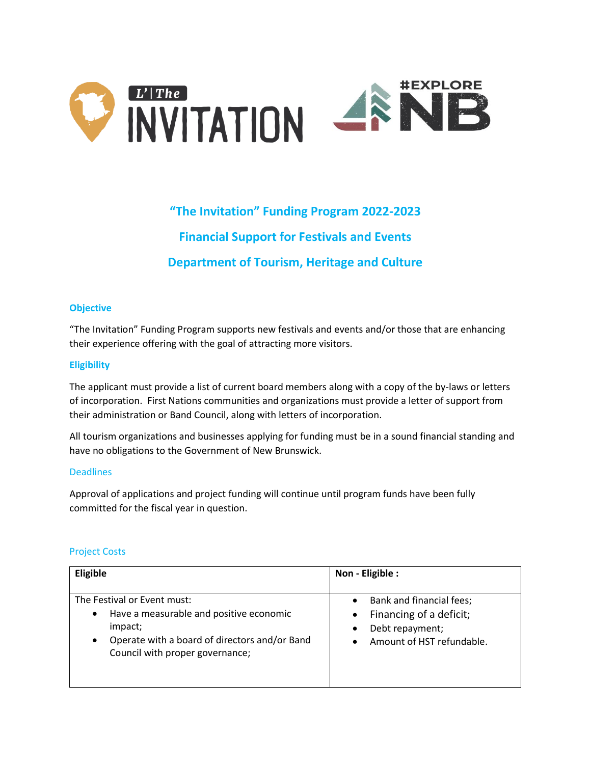

# **"The Invitation" Funding Program 2022-2023 Financial Support for Festivals and Events Department of Tourism, Heritage and Culture**

# **Objective**

"The Invitation" Funding Program supports new festivals and events and/or those that are enhancing their experience offering with the goal of attracting more visitors.

# **Eligibility**

The applicant must provide a list of current board members along with a copy of the by-laws or letters of incorporation. First Nations communities and organizations must provide a letter of support from their administration or Band Council, along with letters of incorporation.

All tourism organizations and businesses applying for funding must be in a sound financial standing and have no obligations to the Government of New Brunswick.

# **Deadlines**

Approval of applications and project funding will continue until program funds have been fully committed for the fiscal year in question.

# Project Costs

| Eligible                                                                                                                                                                                        | Non - Eligible :                                                                                                      |
|-------------------------------------------------------------------------------------------------------------------------------------------------------------------------------------------------|-----------------------------------------------------------------------------------------------------------------------|
|                                                                                                                                                                                                 |                                                                                                                       |
| The Festival or Event must:<br>Have a measurable and positive economic<br>$\bullet$<br>impact;<br>Operate with a board of directors and/or Band<br>$\bullet$<br>Council with proper governance; | Bank and financial fees;<br>Financing of a deficit;<br>$\bullet$<br>Debt repayment;<br>٠<br>Amount of HST refundable. |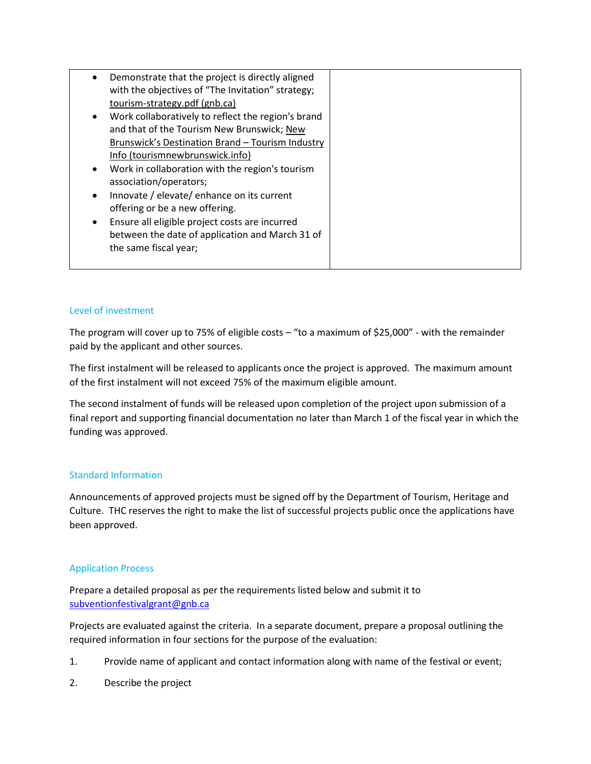# Level of investment

The program will cover up to 75% of eligible costs – "to a maximum of \$25,000" - with the remainder paid by the applicant and other sources.

The first instalment will be released to applicants once the project is approved. The maximum amount of the first instalment will not exceed 75% of the maximum eligible amount.

The second instalment of funds will be released upon completion of the project upon submission of a final report and supporting financial documentation no later than March 1 of the fiscal year in which the funding was approved.

# Standard Information

Announcements of approved projects must be signed off by the Department of Tourism, Heritage and Culture. THC reserves the right to make the list of successful projects public once the applications have been approved.

# Application Process

Prepare a detailed proposal as per the requirements listed below and submit it to [subventionfestivalgrant@gnb.ca](mailto:subventionfestivalgrant@gnb.ca)

Projects are evaluated against the criteria. In a separate document, prepare a proposal outlining the required information in four sections for the purpose of the evaluation:

- 1. Provide name of applicant and contact information along with name of the festival or event;
- 2. Describe the project